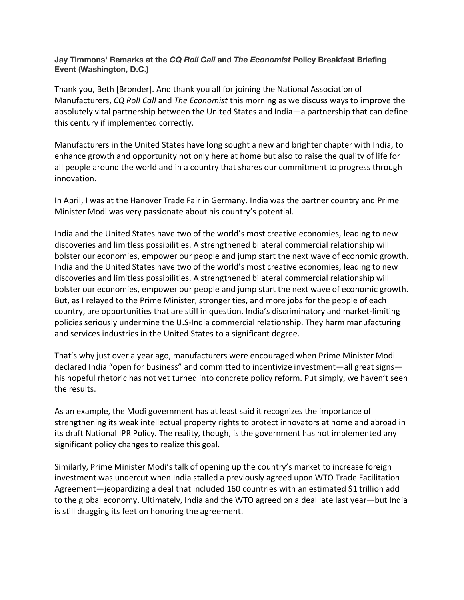## **Jay Timmons' Remarks at the** *CQ Roll Call* **and** *The Economist* **Policy Breakfast Briefing Event (Washington, D.C.)**

Thank you, Beth [Bronder]. And thank you all for joining the National Association of Manufacturers, *CQ Roll Call* and *The Economist* this morning as we discuss ways to improve the absolutely vital partnership between the United States and India—a partnership that can define this century if implemented correctly.

Manufacturers in the United States have long sought a new and brighter chapter with India, to enhance growth and opportunity not only here at home but also to raise the quality of life for all people around the world and in a country that shares our commitment to progress through innovation.

In April, I was at the Hanover Trade Fair in Germany. India was the partner country and Prime Minister Modi was very passionate about his country's potential.

India and the United States have two of the world's most creative economies, leading to new discoveries and limitless possibilities. A strengthened bilateral commercial relationship will bolster our economies, empower our people and jump start the next wave of economic growth. India and the United States have two of the world's most creative economies, leading to new discoveries and limitless possibilities. A strengthened bilateral commercial relationship will bolster our economies, empower our people and jump start the next wave of economic growth. But, as I relayed to the Prime Minister, stronger ties, and more jobs for the people of each country, are opportunities that are still in question. India's discriminatory and market-limiting policies seriously undermine the U.S-India commercial relationship. They harm manufacturing and services industries in the United States to a significant degree.

That's why just over a year ago, manufacturers were encouraged when Prime Minister Modi declared India "open for business" and committed to incentivize investment—all great signs his hopeful rhetoric has not yet turned into concrete policy reform. Put simply, we haven't seen the results.

As an example, the Modi government has at least said it recognizes the importance of strengthening its weak intellectual property rights to protect innovators at home and abroad in its draft National IPR Policy. The reality, though, is the government has not implemented any significant policy changes to realize this goal.

Similarly, Prime Minister Modi's talk of opening up the country's market to increase foreign investment was undercut when India stalled a previously agreed upon WTO Trade Facilitation Agreement—jeopardizing a deal that included 160 countries with an estimated \$1 trillion add to the global economy. Ultimately, India and the WTO agreed on a deal late last year—but India is still dragging its feet on honoring the agreement.